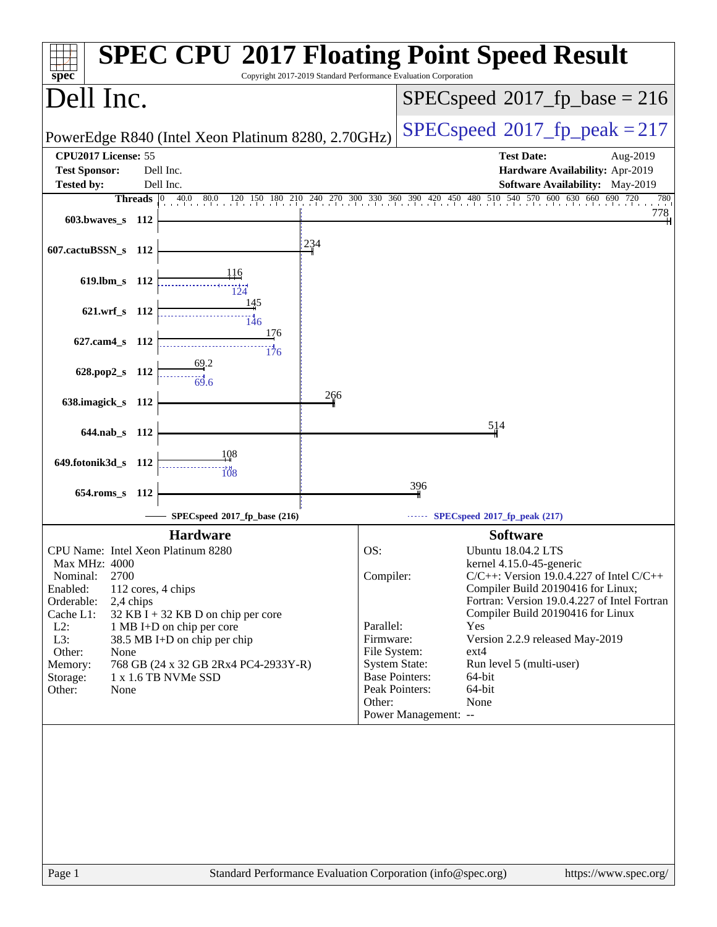| $spec^*$                                                  | Copyright 2017-2019 Standard Performance Evaluation Corporation | <b>SPEC CPU®2017 Floating Point Speed Result</b>                                                                                                         |
|-----------------------------------------------------------|-----------------------------------------------------------------|----------------------------------------------------------------------------------------------------------------------------------------------------------|
| Dell Inc.                                                 |                                                                 | $SPEC speed^{\circ}2017$ _fp_base = 216                                                                                                                  |
| PowerEdge R840 (Intel Xeon Platinum 8280, 2.70GHz)        |                                                                 | $SPEC speed^{\circ}2017$ fp peak = 217                                                                                                                   |
| CPU2017 License: 55                                       |                                                                 | <b>Test Date:</b><br>Aug-2019                                                                                                                            |
| <b>Test Sponsor:</b><br>Dell Inc.                         |                                                                 | Hardware Availability: Apr-2019                                                                                                                          |
| <b>Tested by:</b><br>Dell Inc.                            |                                                                 | <b>Software Availability:</b> May-2019<br>Threads 0 40.0 80.0 120 150 180 210 240 270 300 330 360 390 420 450 480 510 540 570 600 630 660 690 720<br>780 |
| 603.bwaves s 112                                          |                                                                 | 778                                                                                                                                                      |
| 607.cactuBSSN_s 112                                       | 234                                                             |                                                                                                                                                          |
| 619.lbm_s 112                                             |                                                                 |                                                                                                                                                          |
| 621.wrf_s 112                                             | 145<br>146<br>176                                               |                                                                                                                                                          |
| 627.cam4_s 112<br>628.pop2_s 112                          | $\frac{11}{176}$                                                |                                                                                                                                                          |
| 69.6                                                      |                                                                 |                                                                                                                                                          |
| 638.imagick_s 112                                         | 266                                                             |                                                                                                                                                          |
| 644.nab s 112                                             |                                                                 | 514                                                                                                                                                      |
|                                                           |                                                                 |                                                                                                                                                          |
| 108<br>649.fotonik3d_s 112                                | 108                                                             |                                                                                                                                                          |
| $654$ .roms_s<br>112                                      |                                                                 | 396                                                                                                                                                      |
|                                                           | SPECspeed®2017_fp_base (216)                                    | SPECspeed®2017_fp_peak (217)                                                                                                                             |
| <b>Hardware</b>                                           |                                                                 | <b>Software</b>                                                                                                                                          |
| CPU Name: Intel Xeon Platinum 8280                        | OS:                                                             | <b>Ubuntu 18.04.2 LTS</b>                                                                                                                                |
| Max MHz: 4000                                             |                                                                 | kernel 4.15.0-45-generic                                                                                                                                 |
| Nominal:<br>2700                                          | Compiler:                                                       | $C/C++$ : Version 19.0.4.227 of Intel $C/C++$                                                                                                            |
| Enabled:<br>112 cores, 4 chips<br>Orderable:<br>2,4 chips |                                                                 | Compiler Build 20190416 for Linux;<br>Fortran: Version 19.0.4.227 of Intel Fortran                                                                       |
| Cache L1:<br>$32$ KB I + 32 KB D on chip per core         |                                                                 | Compiler Build 20190416 for Linux                                                                                                                        |
| $L2$ :<br>1 MB I+D on chip per core                       | Parallel:                                                       | Yes<br>Version 2.2.9 released May-2019                                                                                                                   |
| L3:<br>38.5 MB I+D on chip per chip<br>Other:<br>None     | Firmware:<br>File System:                                       | ext4                                                                                                                                                     |
| 768 GB (24 x 32 GB 2Rx4 PC4-2933Y-R)<br>Memory:           |                                                                 | <b>System State:</b><br>Run level 5 (multi-user)                                                                                                         |
| $1 \times 1.6$ TB NVMe SSD<br>Storage:                    |                                                                 | <b>Base Pointers:</b><br>64-bit                                                                                                                          |
| Other:<br>None                                            | Other:                                                          | Peak Pointers:<br>64-bit<br>None                                                                                                                         |
|                                                           |                                                                 | Power Management: --                                                                                                                                     |
|                                                           |                                                                 |                                                                                                                                                          |
| Page 1                                                    | Standard Performance Evaluation Corporation (info@spec.org)     | https://www.spec.org/                                                                                                                                    |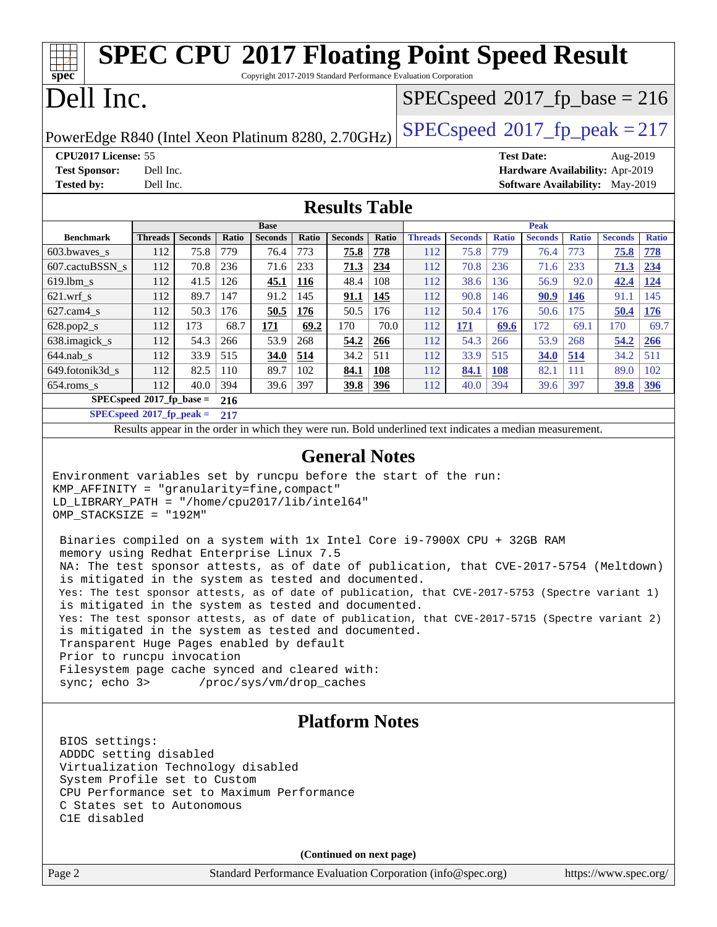| spec <sup>®</sup>                                                                                                                                                                                                                                                                                                                                                                                                                                                                                                                                                                                                                                                                                                                                                                                                                                                                                                                                                                          |                             |                |            |                |              |                      |            | <b>SPEC CPU®2017 Floating Point Speed Result</b><br>Copyright 2017-2019 Standard Performance Evaluation Corporation |                |              |                   |                     |                                        |              |
|--------------------------------------------------------------------------------------------------------------------------------------------------------------------------------------------------------------------------------------------------------------------------------------------------------------------------------------------------------------------------------------------------------------------------------------------------------------------------------------------------------------------------------------------------------------------------------------------------------------------------------------------------------------------------------------------------------------------------------------------------------------------------------------------------------------------------------------------------------------------------------------------------------------------------------------------------------------------------------------------|-----------------------------|----------------|------------|----------------|--------------|----------------------|------------|---------------------------------------------------------------------------------------------------------------------|----------------|--------------|-------------------|---------------------|----------------------------------------|--------------|
| Dell Inc.                                                                                                                                                                                                                                                                                                                                                                                                                                                                                                                                                                                                                                                                                                                                                                                                                                                                                                                                                                                  |                             |                |            |                |              |                      |            | $SPEC speed^{\circ}2017\_fp\_base = 216$                                                                            |                |              |                   |                     |                                        |              |
| PowerEdge R840 (Intel Xeon Platinum 8280, 2.70GHz)                                                                                                                                                                                                                                                                                                                                                                                                                                                                                                                                                                                                                                                                                                                                                                                                                                                                                                                                         |                             |                |            |                |              |                      |            | $SPEC speed^{\circ}2017$ _fp_peak = 217                                                                             |                |              |                   |                     |                                        |              |
| CPU2017 License: 55                                                                                                                                                                                                                                                                                                                                                                                                                                                                                                                                                                                                                                                                                                                                                                                                                                                                                                                                                                        |                             |                |            |                |              |                      |            |                                                                                                                     |                |              | <b>Test Date:</b> |                     | Aug-2019                               |              |
| <b>Test Sponsor:</b>                                                                                                                                                                                                                                                                                                                                                                                                                                                                                                                                                                                                                                                                                                                                                                                                                                                                                                                                                                       | Dell Inc.                   |                |            |                |              |                      |            |                                                                                                                     |                |              |                   |                     | Hardware Availability: Apr-2019        |              |
| <b>Tested by:</b>                                                                                                                                                                                                                                                                                                                                                                                                                                                                                                                                                                                                                                                                                                                                                                                                                                                                                                                                                                          | Dell Inc.                   |                |            |                |              |                      |            |                                                                                                                     |                |              |                   |                     | <b>Software Availability:</b> May-2019 |              |
|                                                                                                                                                                                                                                                                                                                                                                                                                                                                                                                                                                                                                                                                                                                                                                                                                                                                                                                                                                                            |                             |                |            |                |              |                      |            |                                                                                                                     |                |              |                   |                     |                                        |              |
|                                                                                                                                                                                                                                                                                                                                                                                                                                                                                                                                                                                                                                                                                                                                                                                                                                                                                                                                                                                            |                             |                |            |                |              | <b>Results Table</b> |            |                                                                                                                     |                |              |                   |                     |                                        |              |
|                                                                                                                                                                                                                                                                                                                                                                                                                                                                                                                                                                                                                                                                                                                                                                                                                                                                                                                                                                                            |                             |                |            | <b>Base</b>    |              |                      |            |                                                                                                                     |                |              | <b>Peak</b>       |                     |                                        |              |
| <b>Benchmark</b>                                                                                                                                                                                                                                                                                                                                                                                                                                                                                                                                                                                                                                                                                                                                                                                                                                                                                                                                                                           | Threads                     | <b>Seconds</b> | Ratio      | <b>Seconds</b> | Ratio<br>773 | <b>Seconds</b>       | Ratio      | <b>Threads</b>                                                                                                      | <b>Seconds</b> | <b>Ratio</b> | <b>Seconds</b>    | <b>Ratio</b><br>773 | <b>Seconds</b>                         | <b>Ratio</b> |
| 603.bwaves_s                                                                                                                                                                                                                                                                                                                                                                                                                                                                                                                                                                                                                                                                                                                                                                                                                                                                                                                                                                               | 112                         | 75.8           | 779        | 76.4           |              | 75.8                 | 778        | 112                                                                                                                 | 75.8           | 779          | 76.4              |                     | 75.8                                   | 778          |
| 607.cactuBSSN_s                                                                                                                                                                                                                                                                                                                                                                                                                                                                                                                                                                                                                                                                                                                                                                                                                                                                                                                                                                            | 112                         | 70.8           | 236        | 71.6           | 233          | 71.3                 | 234        | 112                                                                                                                 | 70.8           | 236          | 71.6              | 233                 | 71.3                                   | 234          |
| $619.$ lbm_s                                                                                                                                                                                                                                                                                                                                                                                                                                                                                                                                                                                                                                                                                                                                                                                                                                                                                                                                                                               | 112                         | 41.5           | 126        | 45.1           | <b>116</b>   | 48.4                 | 108        | 112                                                                                                                 | 38.6           | 136          | 56.9              | 92.0                | 42.4                                   | 124          |
| $621.wrf$ <sub>s</sub>                                                                                                                                                                                                                                                                                                                                                                                                                                                                                                                                                                                                                                                                                                                                                                                                                                                                                                                                                                     | 112                         | 89.7           | 147        | 91.2           | 145          | <u>91.1</u>          | <b>145</b> | 112                                                                                                                 | 90.8           | 146          | 90.9              | <b>146</b>          | 91.1                                   | 145          |
| $627.cam4_s$                                                                                                                                                                                                                                                                                                                                                                                                                                                                                                                                                                                                                                                                                                                                                                                                                                                                                                                                                                               | 112                         | 50.3           | 176        | 50.5           | 176          | 50.5                 | 176        | 112                                                                                                                 | 50.4           | 176          | 50.6              | 175                 | 50.4                                   | 176          |
| $628.pop2_s$                                                                                                                                                                                                                                                                                                                                                                                                                                                                                                                                                                                                                                                                                                                                                                                                                                                                                                                                                                               | 112                         | 173            | 68.7       | 171            | 69.2         | 170                  | 70.0       | 112                                                                                                                 | <b>171</b>     | 69.6         | 172               | 69.1                | 170                                    | 69.7         |
| 638.imagick_s<br>$644.nab$ <sub>s</sub>                                                                                                                                                                                                                                                                                                                                                                                                                                                                                                                                                                                                                                                                                                                                                                                                                                                                                                                                                    | 112<br>112                  | 54.3<br>33.9   | 266<br>515 | 53.9<br>34.0   | 268<br>514   | 54.2<br>34.2         | 266<br>511 | 112<br>112                                                                                                          | 54.3<br>33.9   | 266<br>515   | 53.9<br>34.0      | 268<br>514          | 54.2<br>34.2                           | 266<br>511   |
| 649.fotonik3d_s                                                                                                                                                                                                                                                                                                                                                                                                                                                                                                                                                                                                                                                                                                                                                                                                                                                                                                                                                                            | 112                         | 82.5           | 110        | 89.7           | 102          | 84.1                 | 108        | 112                                                                                                                 | 84.1           | <b>108</b>   | 82.1              | 111                 | 89.0                                   | 102          |
| $654$ .roms_s                                                                                                                                                                                                                                                                                                                                                                                                                                                                                                                                                                                                                                                                                                                                                                                                                                                                                                                                                                              | 112                         | 40.0           | 394        | 39.6           | 397          | 39.8                 | 396        | 112                                                                                                                 | 40.0           | 394          | 39.6              | 397                 | <b>39.8</b>                            | 396          |
|                                                                                                                                                                                                                                                                                                                                                                                                                                                                                                                                                                                                                                                                                                                                                                                                                                                                                                                                                                                            | $SPECspeed*2017_fp\_base =$ |                | 216        |                |              |                      |            |                                                                                                                     |                |              |                   |                     |                                        |              |
| $SPECspeed*2017_fp\_peak =$                                                                                                                                                                                                                                                                                                                                                                                                                                                                                                                                                                                                                                                                                                                                                                                                                                                                                                                                                                |                             |                | 217        |                |              |                      |            |                                                                                                                     |                |              |                   |                     |                                        |              |
|                                                                                                                                                                                                                                                                                                                                                                                                                                                                                                                                                                                                                                                                                                                                                                                                                                                                                                                                                                                            |                             |                |            |                |              |                      |            | Results appear in the order in which they were run. Bold underlined text indicates a median measurement.            |                |              |                   |                     |                                        |              |
|                                                                                                                                                                                                                                                                                                                                                                                                                                                                                                                                                                                                                                                                                                                                                                                                                                                                                                                                                                                            |                             |                |            |                |              |                      |            |                                                                                                                     |                |              |                   |                     |                                        |              |
| <b>General Notes</b><br>Environment variables set by runcpu before the start of the run:<br>KMP_AFFINITY = "granularity=fine, compact"<br>LD_LIBRARY_PATH = "/home/cpu2017/lib/intel64"<br>OMP_STACKSIZE = "192M"<br>Binaries compiled on a system with 1x Intel Core i9-7900X CPU + 32GB RAM<br>memory using Redhat Enterprise Linux 7.5<br>NA: The test sponsor attests, as of date of publication, that CVE-2017-5754 (Meltdown)<br>is mitigated in the system as tested and documented.<br>Yes: The test sponsor attests, as of date of publication, that CVE-2017-5753 (Spectre variant 1)<br>is mitigated in the system as tested and documented.<br>Yes: The test sponsor attests, as of date of publication, that CVE-2017-5715 (Spectre variant 2)<br>is mitigated in the system as tested and documented.<br>Transparent Huge Pages enabled by default<br>Prior to runcpu invocation<br>Filesystem page cache synced and cleared with:<br>sync: echo 3> /proc/sys/vm/drop_caches |                             |                |            |                |              |                      |            |                                                                                                                     |                |              |                   |                     |                                        |              |
| <b>Platform Notes</b><br>BIOS settings:<br>ADDDC setting disabled<br>Virtualization Technology disabled<br>System Profile set to Custom<br>CPU Performance set to Maximum Performance<br>C States set to Autonomous<br>C1E disabled<br>(Continued on next page)                                                                                                                                                                                                                                                                                                                                                                                                                                                                                                                                                                                                                                                                                                                            |                             |                |            |                |              |                      |            |                                                                                                                     |                |              |                   |                     |                                        |              |
| Page 2                                                                                                                                                                                                                                                                                                                                                                                                                                                                                                                                                                                                                                                                                                                                                                                                                                                                                                                                                                                     |                             |                |            |                |              |                      |            | Standard Performance Evaluation Corporation (info@spec.org)                                                         |                |              |                   |                     | https://www.spec.org/                  |              |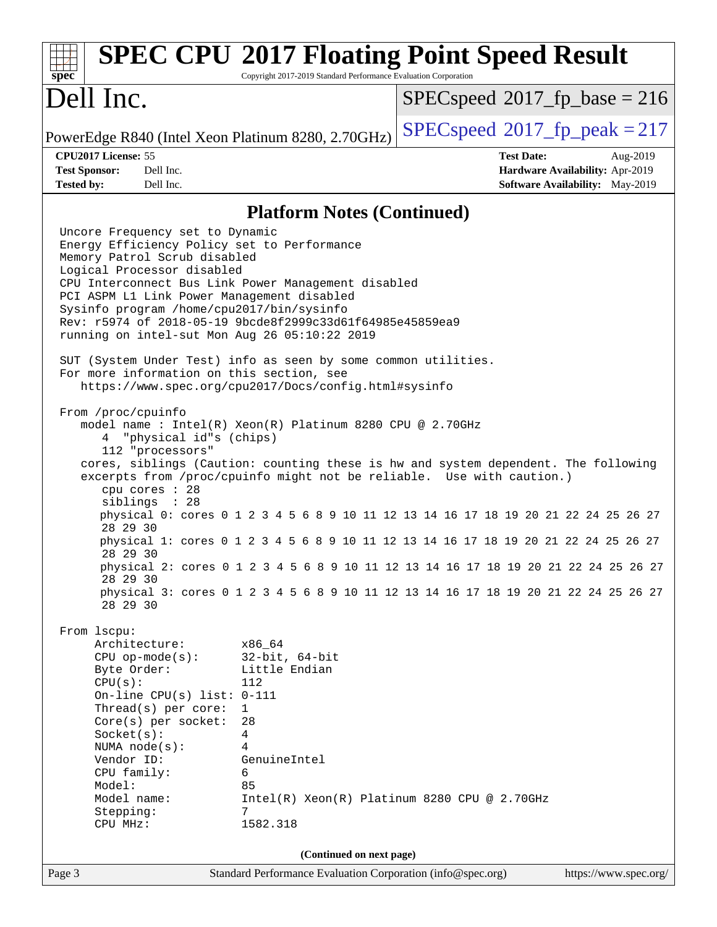| Spec                                                                                                                                                                                                                                                                                                                                                                                                                                                                                                                                                                                                                                                                                                                                                                                                                                                                                                                                                                                                                                                                | Copyright 2017-2019 Standard Performance Evaluation Corporation | <b>SPEC CPU®2017 Floating Point Speed Result</b>                                                                                                                                                                                                                                                                                                                                                                                                                                                                        |
|---------------------------------------------------------------------------------------------------------------------------------------------------------------------------------------------------------------------------------------------------------------------------------------------------------------------------------------------------------------------------------------------------------------------------------------------------------------------------------------------------------------------------------------------------------------------------------------------------------------------------------------------------------------------------------------------------------------------------------------------------------------------------------------------------------------------------------------------------------------------------------------------------------------------------------------------------------------------------------------------------------------------------------------------------------------------|-----------------------------------------------------------------|-------------------------------------------------------------------------------------------------------------------------------------------------------------------------------------------------------------------------------------------------------------------------------------------------------------------------------------------------------------------------------------------------------------------------------------------------------------------------------------------------------------------------|
| Dell Inc.                                                                                                                                                                                                                                                                                                                                                                                                                                                                                                                                                                                                                                                                                                                                                                                                                                                                                                                                                                                                                                                           |                                                                 | $SPEC speed^{\circ}2017\_fp\_base = 216$                                                                                                                                                                                                                                                                                                                                                                                                                                                                                |
| PowerEdge R840 (Intel Xeon Platinum 8280, 2.70GHz)                                                                                                                                                                                                                                                                                                                                                                                                                                                                                                                                                                                                                                                                                                                                                                                                                                                                                                                                                                                                                  |                                                                 | $SPEC speed^{\circ}2017$ _fp_peak = 217                                                                                                                                                                                                                                                                                                                                                                                                                                                                                 |
| CPU2017 License: 55                                                                                                                                                                                                                                                                                                                                                                                                                                                                                                                                                                                                                                                                                                                                                                                                                                                                                                                                                                                                                                                 |                                                                 | <b>Test Date:</b><br>Aug-2019                                                                                                                                                                                                                                                                                                                                                                                                                                                                                           |
| Dell Inc.<br><b>Test Sponsor:</b>                                                                                                                                                                                                                                                                                                                                                                                                                                                                                                                                                                                                                                                                                                                                                                                                                                                                                                                                                                                                                                   |                                                                 | Hardware Availability: Apr-2019                                                                                                                                                                                                                                                                                                                                                                                                                                                                                         |
| <b>Tested by:</b><br>Dell Inc.                                                                                                                                                                                                                                                                                                                                                                                                                                                                                                                                                                                                                                                                                                                                                                                                                                                                                                                                                                                                                                      |                                                                 | <b>Software Availability:</b> May-2019                                                                                                                                                                                                                                                                                                                                                                                                                                                                                  |
|                                                                                                                                                                                                                                                                                                                                                                                                                                                                                                                                                                                                                                                                                                                                                                                                                                                                                                                                                                                                                                                                     | <b>Platform Notes (Continued)</b>                               |                                                                                                                                                                                                                                                                                                                                                                                                                                                                                                                         |
| Uncore Frequency set to Dynamic<br>Energy Efficiency Policy set to Performance<br>Memory Patrol Scrub disabled<br>Logical Processor disabled<br>CPU Interconnect Bus Link Power Management disabled<br>PCI ASPM L1 Link Power Management disabled<br>Sysinfo program /home/cpu2017/bin/sysinfo<br>Rev: r5974 of 2018-05-19 9bcde8f2999c33d61f64985e45859ea9<br>running on intel-sut Mon Aug 26 05:10:22 2019<br>SUT (System Under Test) info as seen by some common utilities.<br>For more information on this section, see<br>https://www.spec.org/cpu2017/Docs/config.html#sysinfo<br>From /proc/cpuinfo<br>model name: $Intel(R)$ Xeon $(R)$ Platinum 8280 CPU @ 2.70GHz<br>"physical id"s (chips)<br>112 "processors"<br>cpu cores : 28<br>siblings : 28<br>28 29 30<br>28 29 30<br>28 29 30<br>28 29 30<br>From 1scpu:<br>Architecture:<br>$CPU$ op-mode( $s$ ):<br>Byte Order:<br>CPU(s):<br>112<br>On-line CPU(s) list: $0-111$<br>Thread(s) per core:<br>$\mathbf{1}$<br>$Core(s)$ per socket:<br>28<br>Socket(s):<br>4<br>NUMA node(s):<br>4<br>Vendor ID: | x86_64<br>$32$ -bit, $64$ -bit<br>Little Endian<br>GenuineIntel | cores, siblings (Caution: counting these is hw and system dependent. The following<br>excerpts from /proc/cpuinfo might not be reliable. Use with caution.)<br>physical 0: cores 0 1 2 3 4 5 6 8 9 10 11 12 13 14 16 17 18 19 20 21 22 24 25 26 27<br>physical 1: cores 0 1 2 3 4 5 6 8 9 10 11 12 13 14 16 17 18 19 20 21 22 24 25 26 27<br>physical 2: cores 0 1 2 3 4 5 6 8 9 10 11 12 13 14 16 17 18 19 20 21 22 24 25 26 27<br>physical 3: cores 0 1 2 3 4 5 6 8 9 10 11 12 13 14 16 17 18 19 20 21 22 24 25 26 27 |
| CPU family:<br>6<br>85<br>Model:<br>Model name:                                                                                                                                                                                                                                                                                                                                                                                                                                                                                                                                                                                                                                                                                                                                                                                                                                                                                                                                                                                                                     |                                                                 | Intel(R) Xeon(R) Platinum 8280 CPU @ 2.70GHz                                                                                                                                                                                                                                                                                                                                                                                                                                                                            |
| Stepping:<br>7<br>CPU MHz:                                                                                                                                                                                                                                                                                                                                                                                                                                                                                                                                                                                                                                                                                                                                                                                                                                                                                                                                                                                                                                          | 1582.318                                                        |                                                                                                                                                                                                                                                                                                                                                                                                                                                                                                                         |
|                                                                                                                                                                                                                                                                                                                                                                                                                                                                                                                                                                                                                                                                                                                                                                                                                                                                                                                                                                                                                                                                     | (Continued on next page)                                        |                                                                                                                                                                                                                                                                                                                                                                                                                                                                                                                         |
| Page 3                                                                                                                                                                                                                                                                                                                                                                                                                                                                                                                                                                                                                                                                                                                                                                                                                                                                                                                                                                                                                                                              | Standard Performance Evaluation Corporation (info@spec.org)     | https://www.spec.org/                                                                                                                                                                                                                                                                                                                                                                                                                                                                                                   |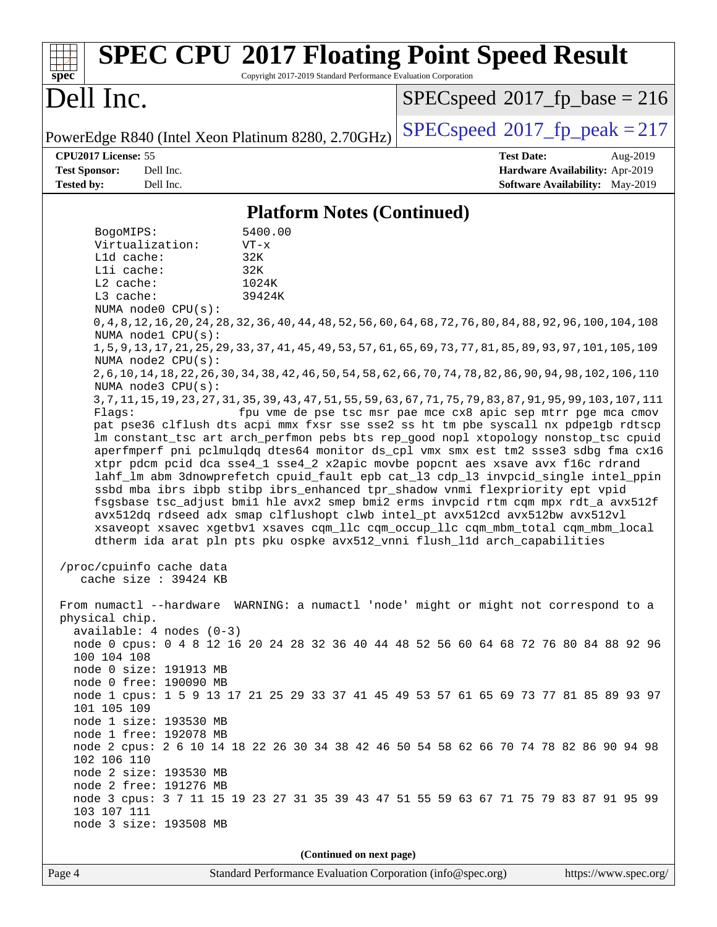| <b>SPEC CPU®2017 Floating Point Speed Result</b><br>Copyright 2017-2019 Standard Performance Evaluation Corporation<br>$spec^*$                                                                                                                                                                                                                                                                                                                                                                                                                                                                                                                                                                                                                                                                                                                                                                                                                                                                                                                                                                                                                                                                                                                                                                                                                                                                                                                                                                                                                                                                                                                                                                                                                                                                                                                                                                                                                                                                                                                                                                                                                                                                                                                                                                                                                                                                                       |                                                                                                            |
|-----------------------------------------------------------------------------------------------------------------------------------------------------------------------------------------------------------------------------------------------------------------------------------------------------------------------------------------------------------------------------------------------------------------------------------------------------------------------------------------------------------------------------------------------------------------------------------------------------------------------------------------------------------------------------------------------------------------------------------------------------------------------------------------------------------------------------------------------------------------------------------------------------------------------------------------------------------------------------------------------------------------------------------------------------------------------------------------------------------------------------------------------------------------------------------------------------------------------------------------------------------------------------------------------------------------------------------------------------------------------------------------------------------------------------------------------------------------------------------------------------------------------------------------------------------------------------------------------------------------------------------------------------------------------------------------------------------------------------------------------------------------------------------------------------------------------------------------------------------------------------------------------------------------------------------------------------------------------------------------------------------------------------------------------------------------------------------------------------------------------------------------------------------------------------------------------------------------------------------------------------------------------------------------------------------------------------------------------------------------------------------------------------------------------|------------------------------------------------------------------------------------------------------------|
| Dell Inc.                                                                                                                                                                                                                                                                                                                                                                                                                                                                                                                                                                                                                                                                                                                                                                                                                                                                                                                                                                                                                                                                                                                                                                                                                                                                                                                                                                                                                                                                                                                                                                                                                                                                                                                                                                                                                                                                                                                                                                                                                                                                                                                                                                                                                                                                                                                                                                                                             | $SPEC speed^{\circ}2017\_fp\_base = 216$                                                                   |
| PowerEdge R840 (Intel Xeon Platinum 8280, 2.70GHz)                                                                                                                                                                                                                                                                                                                                                                                                                                                                                                                                                                                                                                                                                                                                                                                                                                                                                                                                                                                                                                                                                                                                                                                                                                                                                                                                                                                                                                                                                                                                                                                                                                                                                                                                                                                                                                                                                                                                                                                                                                                                                                                                                                                                                                                                                                                                                                    | $SPEC speed^{\circ}2017$ fp peak = 217                                                                     |
| CPU2017 License: 55<br><b>Test Sponsor:</b><br>Dell Inc.<br><b>Tested by:</b><br>Dell Inc.                                                                                                                                                                                                                                                                                                                                                                                                                                                                                                                                                                                                                                                                                                                                                                                                                                                                                                                                                                                                                                                                                                                                                                                                                                                                                                                                                                                                                                                                                                                                                                                                                                                                                                                                                                                                                                                                                                                                                                                                                                                                                                                                                                                                                                                                                                                            | <b>Test Date:</b><br>Aug-2019<br>Hardware Availability: Apr-2019<br><b>Software Availability:</b> May-2019 |
| <b>Platform Notes (Continued)</b>                                                                                                                                                                                                                                                                                                                                                                                                                                                                                                                                                                                                                                                                                                                                                                                                                                                                                                                                                                                                                                                                                                                                                                                                                                                                                                                                                                                                                                                                                                                                                                                                                                                                                                                                                                                                                                                                                                                                                                                                                                                                                                                                                                                                                                                                                                                                                                                     |                                                                                                            |
| 5400.00<br>BogoMIPS:<br>Virtualization:<br>$VT - x$<br>Lld cache:<br>32K<br>Lli cache:<br>32K<br>L2 cache:<br>1024K<br>L3 cache:<br>39424K<br>NUMA node0 CPU(s):<br>0, 4, 8, 12, 16, 20, 24, 28, 32, 36, 40, 44, 48, 52, 56, 60, 64, 68, 72, 76, 80, 84, 88, 92, 96, 100, 104, 108<br>NUMA node1 CPU(s):<br>1, 5, 9, 13, 17, 21, 25, 29, 33, 37, 41, 45, 49, 53, 57, 61, 65, 69, 73, 77, 81, 85, 89, 93, 97, 101, 105, 109<br>NUMA $node2$ $CPU(s)$ :<br>2, 6, 10, 14, 18, 22, 26, 30, 34, 38, 42, 46, 50, 54, 58, 62, 66, 70, 74, 78, 82, 86, 90, 94, 98, 102, 106, 110<br>NUMA $node3$ $CPU(s)$ :<br>3, 7, 11, 15, 19, 23, 27, 31, 35, 39, 43, 47, 51, 55, 59, 63, 67, 71, 75, 79, 83, 87, 91, 95, 99, 103, 107, 111<br>Flagg:<br>pat pse36 clflush dts acpi mmx fxsr sse sse2 ss ht tm pbe syscall nx pdpelgb rdtscp<br>lm constant_tsc art arch_perfmon pebs bts rep_good nopl xtopology nonstop_tsc cpuid<br>aperfmperf pni pclmulqdq dtes64 monitor ds_cpl vmx smx est tm2 ssse3 sdbg fma cx16<br>xtpr pdcm pcid dca sse4_1 sse4_2 x2apic movbe popcnt aes xsave avx f16c rdrand<br>lahf_lm abm 3dnowprefetch cpuid_fault epb cat_13 cdp_13 invpcid_single intel_ppin<br>ssbd mba ibrs ibpb stibp ibrs_enhanced tpr_shadow vnmi flexpriority ept vpid<br>fsgsbase tsc_adjust bmil hle avx2 smep bmi2 erms invpcid rtm cqm mpx rdt_a avx512f<br>avx512dq rdseed adx smap clflushopt clwb intel_pt avx512cd avx512bw avx512vl<br>xsaveopt xsavec xgetbvl xsaves cqm_llc cqm_occup_llc cqm_mbm_total cqm_mbm_local<br>dtherm ida arat pln pts pku ospke avx512_vnni flush_lld arch_capabilities<br>/proc/cpuinfo cache data<br>cache size $: 39424$ KB<br>From numactl --hardware WARNING: a numactl 'node' might or might not correspond to a<br>physical chip.<br>$available: 4 nodes (0-3)$<br>node 0 cpus: 0 4 8 12 16 20 24 28 32 36 40 44 48 52 56 60 64 68 72 76 80 84 88 92 96<br>100 104 108<br>node 0 size: 191913 MB<br>node 0 free: 190090 MB<br>node 1 cpus: 1 5 9 13 17 21 25 29 33 37 41 45 49 53 57 61 65 69 73 77 81 85 89 93 97<br>101 105 109<br>node 1 size: 193530 MB<br>node 1 free: 192078 MB<br>node 2 cpus: 2 6 10 14 18 22 26 30 34 38 42 46 50 54 58 62 66 70 74 78 82 86 90 94 98<br>102 106 110<br>node 2 size: 193530 MB<br>node 2 free: 191276 MB<br>node 3 cpus: 3 7 11 15 19 23 27 31 35 39 43 47 51 55 59 63 67 71 75 79 83 87 91 95 99<br>103 107 111<br>node 3 size: 193508 MB | fpu vme de pse tsc msr pae mce cx8 apic sep mtrr pge mca cmov                                              |
| (Continued on next page)                                                                                                                                                                                                                                                                                                                                                                                                                                                                                                                                                                                                                                                                                                                                                                                                                                                                                                                                                                                                                                                                                                                                                                                                                                                                                                                                                                                                                                                                                                                                                                                                                                                                                                                                                                                                                                                                                                                                                                                                                                                                                                                                                                                                                                                                                                                                                                                              |                                                                                                            |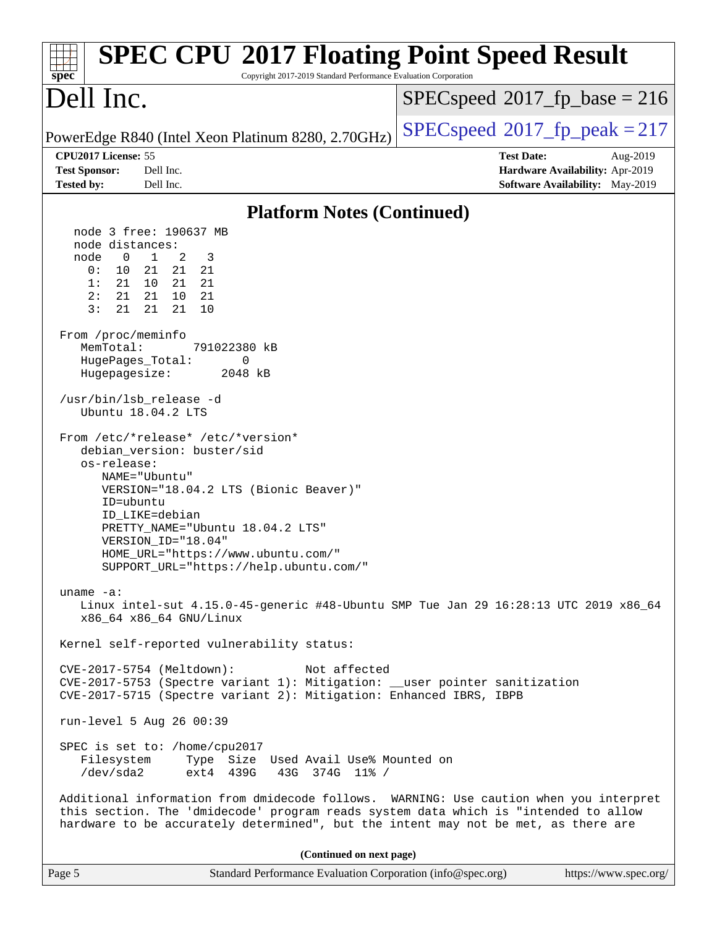| <b>SPEC CPU®2017 Floating Point Speed Result</b><br>Copyright 2017-2019 Standard Performance Evaluation Corporation<br>$spec^*$                                                                                                                                                                                                                                                                                                        |                                                                                                            |
|----------------------------------------------------------------------------------------------------------------------------------------------------------------------------------------------------------------------------------------------------------------------------------------------------------------------------------------------------------------------------------------------------------------------------------------|------------------------------------------------------------------------------------------------------------|
| Dell Inc.                                                                                                                                                                                                                                                                                                                                                                                                                              | $SPEC speed^{\circ}2017\_fp\_base = 216$                                                                   |
| PowerEdge R840 (Intel Xeon Platinum 8280, 2.70GHz)                                                                                                                                                                                                                                                                                                                                                                                     | $SPEC speed^{\circ}2017$ _fp_peak = 217                                                                    |
| CPU2017 License: 55<br><b>Test Sponsor:</b><br>Dell Inc.<br><b>Tested by:</b><br>Dell Inc.                                                                                                                                                                                                                                                                                                                                             | <b>Test Date:</b><br>Aug-2019<br>Hardware Availability: Apr-2019<br><b>Software Availability:</b> May-2019 |
| <b>Platform Notes (Continued)</b>                                                                                                                                                                                                                                                                                                                                                                                                      |                                                                                                            |
| node 3 free: 190637 MB<br>node distances:<br>$\mathbf 0$<br>$\mathbf{1}$<br>2<br>node<br>3<br>0:<br>10<br>21<br>21 21<br>1:<br>21<br>10 21 21<br>2:<br>21<br>10<br>21<br>21<br>3:<br>21<br>21<br>21<br>10<br>From /proc/meminfo<br>MemTotal:<br>791022380 kB<br>HugePages_Total:<br>0<br>Hugepagesize:<br>2048 kB<br>/usr/bin/lsb_release -d<br>Ubuntu 18.04.2 LTS<br>From /etc/*release* /etc/*version*<br>debian_version: buster/sid |                                                                                                            |
| os-release:<br>NAME="Ubuntu"<br>VERSION="18.04.2 LTS (Bionic Beaver)"<br>ID=ubuntu<br>ID LIKE=debian<br>PRETTY_NAME="Ubuntu 18.04.2 LTS"<br>VERSION_ID="18.04"<br>HOME_URL="https://www.ubuntu.com/"<br>SUPPORT_URL="https://help.ubuntu.com/"                                                                                                                                                                                         |                                                                                                            |
| uname $-a$ :<br>Linux intel-sut 4.15.0-45-generic #48-Ubuntu SMP Tue Jan 29 16:28:13 UTC 2019 x86_64<br>x86_64 x86_64 GNU/Linux                                                                                                                                                                                                                                                                                                        |                                                                                                            |
| Kernel self-reported vulnerability status:                                                                                                                                                                                                                                                                                                                                                                                             |                                                                                                            |
| CVE-2017-5754 (Meltdown):<br>Not affected<br>CVE-2017-5753 (Spectre variant 1): Mitigation: __user pointer sanitization<br>CVE-2017-5715 (Spectre variant 2): Mitigation: Enhanced IBRS, IBPB                                                                                                                                                                                                                                          |                                                                                                            |
| run-level 5 Aug 26 00:39                                                                                                                                                                                                                                                                                                                                                                                                               |                                                                                                            |
| SPEC is set to: /home/cpu2017<br>Filesystem<br>Type Size Used Avail Use% Mounted on<br>/dev/sda2<br>ext4 439G<br>43G 374G 11% /                                                                                                                                                                                                                                                                                                        |                                                                                                            |
| Additional information from dmidecode follows. WARNING: Use caution when you interpret<br>this section. The 'dmidecode' program reads system data which is "intended to allow<br>hardware to be accurately determined", but the intent may not be met, as there are                                                                                                                                                                    |                                                                                                            |
| (Continued on next page)                                                                                                                                                                                                                                                                                                                                                                                                               |                                                                                                            |
| Standard Performance Evaluation Corporation (info@spec.org)<br>Page 5                                                                                                                                                                                                                                                                                                                                                                  | https://www.spec.org/                                                                                      |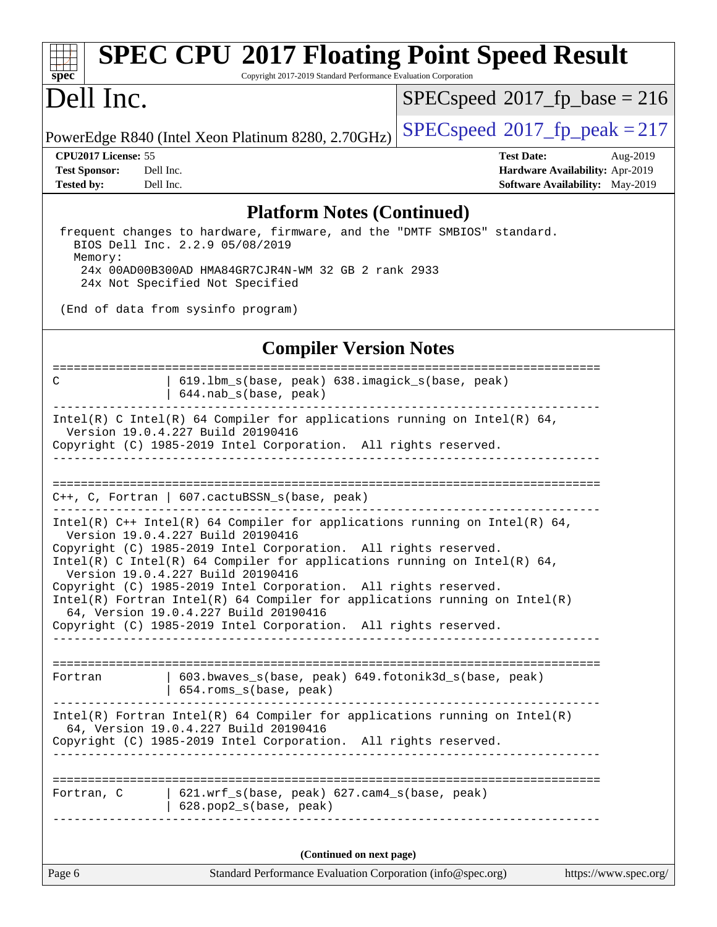# **[spec](http://www.spec.org/)**

# **[SPEC CPU](http://www.spec.org/auto/cpu2017/Docs/result-fields.html#SPECCPU2017FloatingPointSpeedResult)[2017 Floating Point Speed Result](http://www.spec.org/auto/cpu2017/Docs/result-fields.html#SPECCPU2017FloatingPointSpeedResult)**

Copyright 2017-2019 Standard Performance Evaluation Corporation

## Dell Inc.

 $SPECspeed*2017_fp\_base = 216$  $SPECspeed*2017_fp\_base = 216$ 

PowerEdge R840 (Intel Xeon Platinum 8280, 2.70GHz) [SPECspeed](http://www.spec.org/auto/cpu2017/Docs/result-fields.html#SPECspeed2017fppeak)<sup>®</sup>[2017\\_fp\\_peak = 2](http://www.spec.org/auto/cpu2017/Docs/result-fields.html#SPECspeed2017fppeak)17

**[CPU2017 License:](http://www.spec.org/auto/cpu2017/Docs/result-fields.html#CPU2017License)** 55 **[Test Date:](http://www.spec.org/auto/cpu2017/Docs/result-fields.html#TestDate)** Aug-2019 **[Test Sponsor:](http://www.spec.org/auto/cpu2017/Docs/result-fields.html#TestSponsor)** Dell Inc. **[Hardware Availability:](http://www.spec.org/auto/cpu2017/Docs/result-fields.html#HardwareAvailability)** Apr-2019 **[Tested by:](http://www.spec.org/auto/cpu2017/Docs/result-fields.html#Testedby)** Dell Inc. Dell Inc. **[Software Availability:](http://www.spec.org/auto/cpu2017/Docs/result-fields.html#SoftwareAvailability)** May-2019

#### **[Platform Notes \(Continued\)](http://www.spec.org/auto/cpu2017/Docs/result-fields.html#PlatformNotes)**

 frequent changes to hardware, firmware, and the "DMTF SMBIOS" standard. BIOS Dell Inc. 2.2.9 05/08/2019 Memory: 24x 00AD00B300AD HMA84GR7CJR4N-WM 32 GB 2 rank 2933 24x Not Specified Not Specified

(End of data from sysinfo program)

#### **[Compiler Version Notes](http://www.spec.org/auto/cpu2017/Docs/result-fields.html#CompilerVersionNotes)**

| $644.nab_s(base, peak)$<br>Intel(R) C Intel(R) 64 Compiler for applications running on Intel(R) 64,<br>Version 19.0.4.227 Build 20190416<br>Copyright (C) 1985-2019 Intel Corporation. All rights reserved.<br>$C++$ , C, Fortran   607.cactuBSSN_s(base, peak)<br>Intel(R) $C++$ Intel(R) 64 Compiler for applications running on Intel(R) 64,<br>Version 19.0.4.227 Build 20190416<br>Copyright (C) 1985-2019 Intel Corporation. All rights reserved.<br>Intel(R) C Intel(R) 64 Compiler for applications running on Intel(R) 64,<br>Version 19.0.4.227 Build 20190416<br>Copyright (C) 1985-2019 Intel Corporation. All rights reserved.<br>$Intel(R)$ Fortran Intel(R) 64 Compiler for applications running on Intel(R)<br>64, Version 19.0.4.227 Build 20190416<br>Copyright (C) 1985-2019 Intel Corporation. All rights reserved.<br>603.bwaves_s(base, peak) 649.fotonik3d_s(base, peak)<br>Fortran<br>654.roms_s(base, peak)<br>$Intel(R)$ Fortran Intel(R) 64 Compiler for applications running on Intel(R)<br>64, Version 19.0.4.227 Build 20190416<br>Copyright (C) 1985-2019 Intel Corporation. All rights reserved.<br>================<br>621.wrf_s(base, peak) 627.cam4_s(base, peak)<br>Fortran, C<br>628.pop2_s(base, peak)<br>(Continued on next page) | Page 6 | Standard Performance Evaluation Corporation (info@spec.org) | https://www.spec.org/ |
|--------------------------------------------------------------------------------------------------------------------------------------------------------------------------------------------------------------------------------------------------------------------------------------------------------------------------------------------------------------------------------------------------------------------------------------------------------------------------------------------------------------------------------------------------------------------------------------------------------------------------------------------------------------------------------------------------------------------------------------------------------------------------------------------------------------------------------------------------------------------------------------------------------------------------------------------------------------------------------------------------------------------------------------------------------------------------------------------------------------------------------------------------------------------------------------------------------------------------------------------------------------------------|--------|-------------------------------------------------------------|-----------------------|
|                                                                                                                                                                                                                                                                                                                                                                                                                                                                                                                                                                                                                                                                                                                                                                                                                                                                                                                                                                                                                                                                                                                                                                                                                                                                          |        |                                                             |                       |
|                                                                                                                                                                                                                                                                                                                                                                                                                                                                                                                                                                                                                                                                                                                                                                                                                                                                                                                                                                                                                                                                                                                                                                                                                                                                          |        |                                                             |                       |
|                                                                                                                                                                                                                                                                                                                                                                                                                                                                                                                                                                                                                                                                                                                                                                                                                                                                                                                                                                                                                                                                                                                                                                                                                                                                          |        |                                                             |                       |
|                                                                                                                                                                                                                                                                                                                                                                                                                                                                                                                                                                                                                                                                                                                                                                                                                                                                                                                                                                                                                                                                                                                                                                                                                                                                          |        |                                                             |                       |
|                                                                                                                                                                                                                                                                                                                                                                                                                                                                                                                                                                                                                                                                                                                                                                                                                                                                                                                                                                                                                                                                                                                                                                                                                                                                          |        |                                                             |                       |
|                                                                                                                                                                                                                                                                                                                                                                                                                                                                                                                                                                                                                                                                                                                                                                                                                                                                                                                                                                                                                                                                                                                                                                                                                                                                          |        |                                                             |                       |
|                                                                                                                                                                                                                                                                                                                                                                                                                                                                                                                                                                                                                                                                                                                                                                                                                                                                                                                                                                                                                                                                                                                                                                                                                                                                          |        |                                                             |                       |
|                                                                                                                                                                                                                                                                                                                                                                                                                                                                                                                                                                                                                                                                                                                                                                                                                                                                                                                                                                                                                                                                                                                                                                                                                                                                          |        |                                                             |                       |
| ------------<br>C                                                                                                                                                                                                                                                                                                                                                                                                                                                                                                                                                                                                                                                                                                                                                                                                                                                                                                                                                                                                                                                                                                                                                                                                                                                        |        | 619.1bm_s(base, peak) 638.imagick_s(base, peak)             |                       |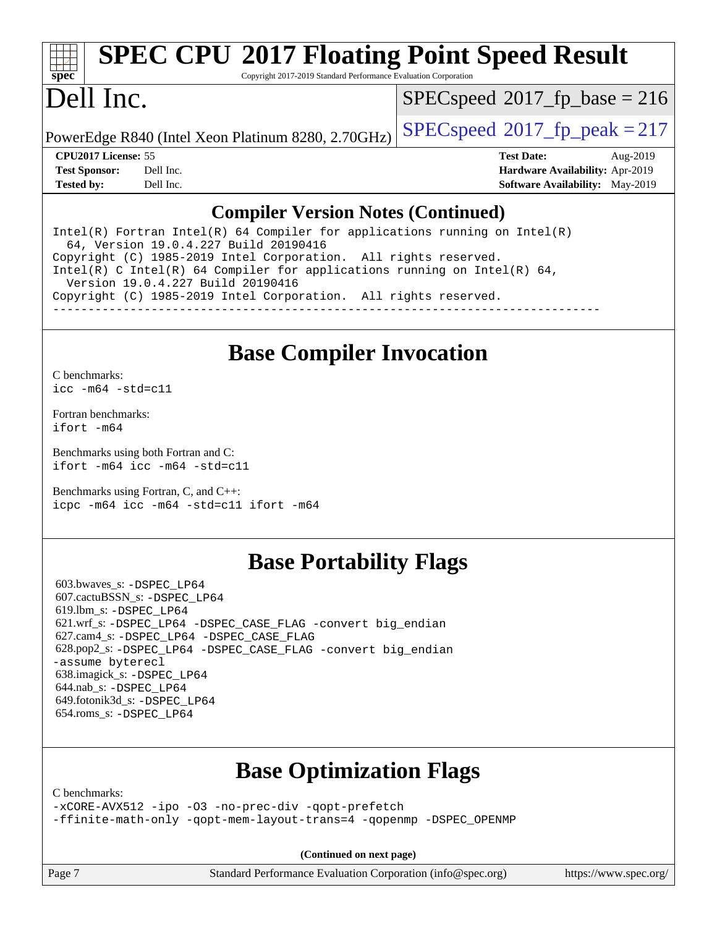# **[spec](http://www.spec.org/)**

# **[SPEC CPU](http://www.spec.org/auto/cpu2017/Docs/result-fields.html#SPECCPU2017FloatingPointSpeedResult)[2017 Floating Point Speed Result](http://www.spec.org/auto/cpu2017/Docs/result-fields.html#SPECCPU2017FloatingPointSpeedResult)**

Copyright 2017-2019 Standard Performance Evaluation Corporation

## Dell Inc.

 $SPEC speed$ <sup>®</sup> $2017$ \_fp\_base = 216

PowerEdge R840 (Intel Xeon Platinum 8280, 2.70GHz)  $\left|$  [SPECspeed](http://www.spec.org/auto/cpu2017/Docs/result-fields.html#SPECspeed2017fppeak)®[2017\\_fp\\_peak = 2](http://www.spec.org/auto/cpu2017/Docs/result-fields.html#SPECspeed2017fppeak)17

**[CPU2017 License:](http://www.spec.org/auto/cpu2017/Docs/result-fields.html#CPU2017License)** 55 **[Test Date:](http://www.spec.org/auto/cpu2017/Docs/result-fields.html#TestDate)** Aug-2019 **[Test Sponsor:](http://www.spec.org/auto/cpu2017/Docs/result-fields.html#TestSponsor)** Dell Inc. **[Hardware Availability:](http://www.spec.org/auto/cpu2017/Docs/result-fields.html#HardwareAvailability)** Apr-2019 **[Tested by:](http://www.spec.org/auto/cpu2017/Docs/result-fields.html#Testedby)** Dell Inc. **[Software Availability:](http://www.spec.org/auto/cpu2017/Docs/result-fields.html#SoftwareAvailability)** May-2019

#### **[Compiler Version Notes \(Continued\)](http://www.spec.org/auto/cpu2017/Docs/result-fields.html#CompilerVersionNotes)**

Intel(R) Fortran Intel(R)  $64$  Compiler for applications running on Intel(R) 64, Version 19.0.4.227 Build 20190416 Copyright (C) 1985-2019 Intel Corporation. All rights reserved. Intel(R) C Intel(R) 64 Compiler for applications running on Intel(R) 64, Version 19.0.4.227 Build 20190416 Copyright (C) 1985-2019 Intel Corporation. All rights reserved. ------------------------------------------------------------------------------

### **[Base Compiler Invocation](http://www.spec.org/auto/cpu2017/Docs/result-fields.html#BaseCompilerInvocation)**

[C benchmarks](http://www.spec.org/auto/cpu2017/Docs/result-fields.html#Cbenchmarks): [icc -m64 -std=c11](http://www.spec.org/cpu2017/results/res2019q3/cpu2017-20190831-17311.flags.html#user_CCbase_intel_icc_64bit_c11_33ee0cdaae7deeeab2a9725423ba97205ce30f63b9926c2519791662299b76a0318f32ddfffdc46587804de3178b4f9328c46fa7c2b0cd779d7a61945c91cd35)

[Fortran benchmarks](http://www.spec.org/auto/cpu2017/Docs/result-fields.html#Fortranbenchmarks): [ifort -m64](http://www.spec.org/cpu2017/results/res2019q3/cpu2017-20190831-17311.flags.html#user_FCbase_intel_ifort_64bit_24f2bb282fbaeffd6157abe4f878425411749daecae9a33200eee2bee2fe76f3b89351d69a8130dd5949958ce389cf37ff59a95e7a40d588e8d3a57e0c3fd751)

[Benchmarks using both Fortran and C](http://www.spec.org/auto/cpu2017/Docs/result-fields.html#BenchmarksusingbothFortranandC): [ifort -m64](http://www.spec.org/cpu2017/results/res2019q3/cpu2017-20190831-17311.flags.html#user_CC_FCbase_intel_ifort_64bit_24f2bb282fbaeffd6157abe4f878425411749daecae9a33200eee2bee2fe76f3b89351d69a8130dd5949958ce389cf37ff59a95e7a40d588e8d3a57e0c3fd751) [icc -m64 -std=c11](http://www.spec.org/cpu2017/results/res2019q3/cpu2017-20190831-17311.flags.html#user_CC_FCbase_intel_icc_64bit_c11_33ee0cdaae7deeeab2a9725423ba97205ce30f63b9926c2519791662299b76a0318f32ddfffdc46587804de3178b4f9328c46fa7c2b0cd779d7a61945c91cd35)

[Benchmarks using Fortran, C, and C++:](http://www.spec.org/auto/cpu2017/Docs/result-fields.html#BenchmarksusingFortranCandCXX) [icpc -m64](http://www.spec.org/cpu2017/results/res2019q3/cpu2017-20190831-17311.flags.html#user_CC_CXX_FCbase_intel_icpc_64bit_4ecb2543ae3f1412ef961e0650ca070fec7b7afdcd6ed48761b84423119d1bf6bdf5cad15b44d48e7256388bc77273b966e5eb805aefd121eb22e9299b2ec9d9) [icc -m64 -std=c11](http://www.spec.org/cpu2017/results/res2019q3/cpu2017-20190831-17311.flags.html#user_CC_CXX_FCbase_intel_icc_64bit_c11_33ee0cdaae7deeeab2a9725423ba97205ce30f63b9926c2519791662299b76a0318f32ddfffdc46587804de3178b4f9328c46fa7c2b0cd779d7a61945c91cd35) [ifort -m64](http://www.spec.org/cpu2017/results/res2019q3/cpu2017-20190831-17311.flags.html#user_CC_CXX_FCbase_intel_ifort_64bit_24f2bb282fbaeffd6157abe4f878425411749daecae9a33200eee2bee2fe76f3b89351d69a8130dd5949958ce389cf37ff59a95e7a40d588e8d3a57e0c3fd751)

### **[Base Portability Flags](http://www.spec.org/auto/cpu2017/Docs/result-fields.html#BasePortabilityFlags)**

 603.bwaves\_s: [-DSPEC\\_LP64](http://www.spec.org/cpu2017/results/res2019q3/cpu2017-20190831-17311.flags.html#suite_basePORTABILITY603_bwaves_s_DSPEC_LP64) 607.cactuBSSN\_s: [-DSPEC\\_LP64](http://www.spec.org/cpu2017/results/res2019q3/cpu2017-20190831-17311.flags.html#suite_basePORTABILITY607_cactuBSSN_s_DSPEC_LP64) 619.lbm\_s: [-DSPEC\\_LP64](http://www.spec.org/cpu2017/results/res2019q3/cpu2017-20190831-17311.flags.html#suite_basePORTABILITY619_lbm_s_DSPEC_LP64) 621.wrf\_s: [-DSPEC\\_LP64](http://www.spec.org/cpu2017/results/res2019q3/cpu2017-20190831-17311.flags.html#suite_basePORTABILITY621_wrf_s_DSPEC_LP64) [-DSPEC\\_CASE\\_FLAG](http://www.spec.org/cpu2017/results/res2019q3/cpu2017-20190831-17311.flags.html#b621.wrf_s_baseCPORTABILITY_DSPEC_CASE_FLAG) [-convert big\\_endian](http://www.spec.org/cpu2017/results/res2019q3/cpu2017-20190831-17311.flags.html#user_baseFPORTABILITY621_wrf_s_convert_big_endian_c3194028bc08c63ac5d04de18c48ce6d347e4e562e8892b8bdbdc0214820426deb8554edfa529a3fb25a586e65a3d812c835984020483e7e73212c4d31a38223) 627.cam4\_s: [-DSPEC\\_LP64](http://www.spec.org/cpu2017/results/res2019q3/cpu2017-20190831-17311.flags.html#suite_basePORTABILITY627_cam4_s_DSPEC_LP64) [-DSPEC\\_CASE\\_FLAG](http://www.spec.org/cpu2017/results/res2019q3/cpu2017-20190831-17311.flags.html#b627.cam4_s_baseCPORTABILITY_DSPEC_CASE_FLAG) 628.pop2\_s: [-DSPEC\\_LP64](http://www.spec.org/cpu2017/results/res2019q3/cpu2017-20190831-17311.flags.html#suite_basePORTABILITY628_pop2_s_DSPEC_LP64) [-DSPEC\\_CASE\\_FLAG](http://www.spec.org/cpu2017/results/res2019q3/cpu2017-20190831-17311.flags.html#b628.pop2_s_baseCPORTABILITY_DSPEC_CASE_FLAG) [-convert big\\_endian](http://www.spec.org/cpu2017/results/res2019q3/cpu2017-20190831-17311.flags.html#user_baseFPORTABILITY628_pop2_s_convert_big_endian_c3194028bc08c63ac5d04de18c48ce6d347e4e562e8892b8bdbdc0214820426deb8554edfa529a3fb25a586e65a3d812c835984020483e7e73212c4d31a38223) [-assume byterecl](http://www.spec.org/cpu2017/results/res2019q3/cpu2017-20190831-17311.flags.html#user_baseFPORTABILITY628_pop2_s_assume_byterecl_7e47d18b9513cf18525430bbf0f2177aa9bf368bc7a059c09b2c06a34b53bd3447c950d3f8d6c70e3faf3a05c8557d66a5798b567902e8849adc142926523472) 638.imagick\_s: [-DSPEC\\_LP64](http://www.spec.org/cpu2017/results/res2019q3/cpu2017-20190831-17311.flags.html#suite_basePORTABILITY638_imagick_s_DSPEC_LP64) 644.nab\_s: [-DSPEC\\_LP64](http://www.spec.org/cpu2017/results/res2019q3/cpu2017-20190831-17311.flags.html#suite_basePORTABILITY644_nab_s_DSPEC_LP64) 649.fotonik3d\_s: [-DSPEC\\_LP64](http://www.spec.org/cpu2017/results/res2019q3/cpu2017-20190831-17311.flags.html#suite_basePORTABILITY649_fotonik3d_s_DSPEC_LP64) 654.roms\_s: [-DSPEC\\_LP64](http://www.spec.org/cpu2017/results/res2019q3/cpu2017-20190831-17311.flags.html#suite_basePORTABILITY654_roms_s_DSPEC_LP64)

## **[Base Optimization Flags](http://www.spec.org/auto/cpu2017/Docs/result-fields.html#BaseOptimizationFlags)**

[C benchmarks](http://www.spec.org/auto/cpu2017/Docs/result-fields.html#Cbenchmarks):

[-xCORE-AVX512](http://www.spec.org/cpu2017/results/res2019q3/cpu2017-20190831-17311.flags.html#user_CCbase_f-xCORE-AVX512) [-ipo](http://www.spec.org/cpu2017/results/res2019q3/cpu2017-20190831-17311.flags.html#user_CCbase_f-ipo) [-O3](http://www.spec.org/cpu2017/results/res2019q3/cpu2017-20190831-17311.flags.html#user_CCbase_f-O3) [-no-prec-div](http://www.spec.org/cpu2017/results/res2019q3/cpu2017-20190831-17311.flags.html#user_CCbase_f-no-prec-div) [-qopt-prefetch](http://www.spec.org/cpu2017/results/res2019q3/cpu2017-20190831-17311.flags.html#user_CCbase_f-qopt-prefetch) [-ffinite-math-only](http://www.spec.org/cpu2017/results/res2019q3/cpu2017-20190831-17311.flags.html#user_CCbase_f_finite_math_only_cb91587bd2077682c4b38af759c288ed7c732db004271a9512da14a4f8007909a5f1427ecbf1a0fb78ff2a814402c6114ac565ca162485bbcae155b5e4258871) [-qopt-mem-layout-trans=4](http://www.spec.org/cpu2017/results/res2019q3/cpu2017-20190831-17311.flags.html#user_CCbase_f-qopt-mem-layout-trans_fa39e755916c150a61361b7846f310bcdf6f04e385ef281cadf3647acec3f0ae266d1a1d22d972a7087a248fd4e6ca390a3634700869573d231a252c784941a8) [-qopenmp](http://www.spec.org/cpu2017/results/res2019q3/cpu2017-20190831-17311.flags.html#user_CCbase_qopenmp_16be0c44f24f464004c6784a7acb94aca937f053568ce72f94b139a11c7c168634a55f6653758ddd83bcf7b8463e8028bb0b48b77bcddc6b78d5d95bb1df2967) [-DSPEC\\_OPENMP](http://www.spec.org/cpu2017/results/res2019q3/cpu2017-20190831-17311.flags.html#suite_CCbase_DSPEC_OPENMP)

**(Continued on next page)**

Page 7 Standard Performance Evaluation Corporation [\(info@spec.org\)](mailto:info@spec.org) <https://www.spec.org/>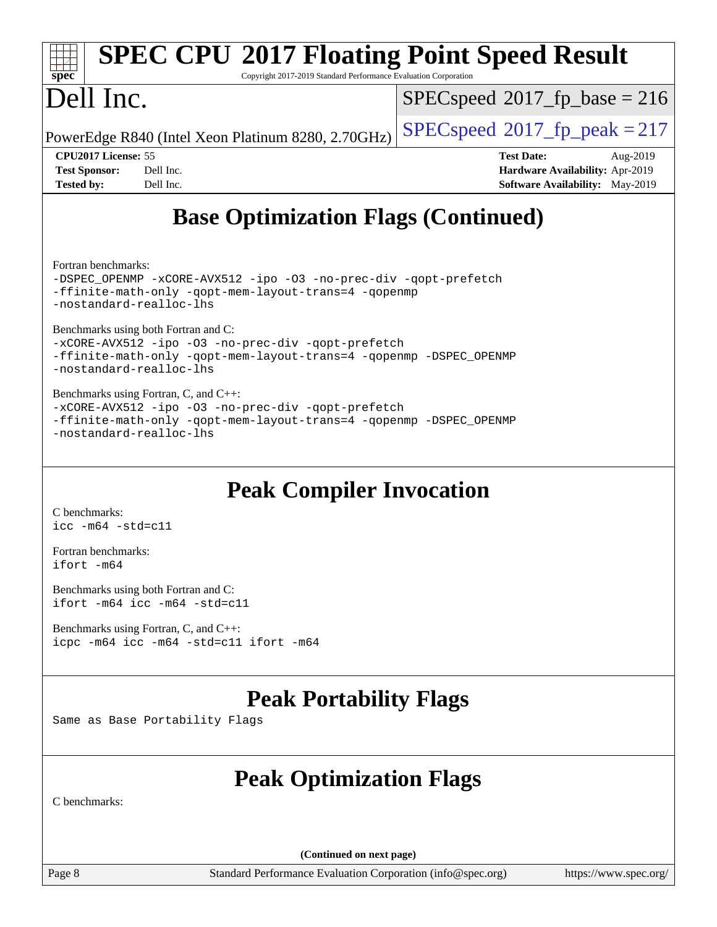| Dell Inc.                                                                                                                                                                                                                                                                                                                                                                                                                                                                                                                                      | Copyright 2017-2019 Standard Performance Evaluation Corporation<br>$SPEC speed^{\circ}2017$ fp base = 216  |  |  |  |
|------------------------------------------------------------------------------------------------------------------------------------------------------------------------------------------------------------------------------------------------------------------------------------------------------------------------------------------------------------------------------------------------------------------------------------------------------------------------------------------------------------------------------------------------|------------------------------------------------------------------------------------------------------------|--|--|--|
| PowerEdge R840 (Intel Xeon Platinum 8280, 2.70GHz)                                                                                                                                                                                                                                                                                                                                                                                                                                                                                             | $SPEC speed^{\circ}2017$ _fp_peak = 217                                                                    |  |  |  |
| <b>CPU2017 License: 55</b><br><b>Test Sponsor:</b><br>Dell Inc.<br>Dell Inc.<br><b>Tested by:</b>                                                                                                                                                                                                                                                                                                                                                                                                                                              | <b>Test Date:</b><br>Aug-2019<br>Hardware Availability: Apr-2019<br><b>Software Availability:</b> May-2019 |  |  |  |
| <b>Base Optimization Flags (Continued)</b>                                                                                                                                                                                                                                                                                                                                                                                                                                                                                                     |                                                                                                            |  |  |  |
| Fortran benchmarks:<br>-DSPEC_OPENMP -xCORE-AVX512 -ipo -03 -no-prec-div -qopt-prefetch<br>-ffinite-math-only -qopt-mem-layout-trans=4 -qopenmp<br>-nostandard-realloc-lhs<br>Benchmarks using both Fortran and C:<br>-xCORE-AVX512 -ipo -03 -no-prec-div -qopt-prefetch<br>-ffinite-math-only -qopt-mem-layout-trans=4 -qopenmp -DSPEC_OPENMP<br>-nostandard-realloc-lhs<br>Benchmarks using Fortran, C, and C++:<br>-xCORE-AVX512 -ipo -03 -no-prec-div -qopt-prefetch<br>-ffinite-math-only -qopt-mem-layout-trans=4 -qopenmp -DSPEC_OPENMP |                                                                                                            |  |  |  |
|                                                                                                                                                                                                                                                                                                                                                                                                                                                                                                                                                |                                                                                                            |  |  |  |

[Fortran benchmarks](http://www.spec.org/auto/cpu2017/Docs/result-fields.html#Fortranbenchmarks): [ifort -m64](http://www.spec.org/cpu2017/results/res2019q3/cpu2017-20190831-17311.flags.html#user_FCpeak_intel_ifort_64bit_24f2bb282fbaeffd6157abe4f878425411749daecae9a33200eee2bee2fe76f3b89351d69a8130dd5949958ce389cf37ff59a95e7a40d588e8d3a57e0c3fd751)

[Benchmarks using both Fortran and C](http://www.spec.org/auto/cpu2017/Docs/result-fields.html#BenchmarksusingbothFortranandC): [ifort -m64](http://www.spec.org/cpu2017/results/res2019q3/cpu2017-20190831-17311.flags.html#user_CC_FCpeak_intel_ifort_64bit_24f2bb282fbaeffd6157abe4f878425411749daecae9a33200eee2bee2fe76f3b89351d69a8130dd5949958ce389cf37ff59a95e7a40d588e8d3a57e0c3fd751) [icc -m64 -std=c11](http://www.spec.org/cpu2017/results/res2019q3/cpu2017-20190831-17311.flags.html#user_CC_FCpeak_intel_icc_64bit_c11_33ee0cdaae7deeeab2a9725423ba97205ce30f63b9926c2519791662299b76a0318f32ddfffdc46587804de3178b4f9328c46fa7c2b0cd779d7a61945c91cd35)

[Benchmarks using Fortran, C, and C++:](http://www.spec.org/auto/cpu2017/Docs/result-fields.html#BenchmarksusingFortranCandCXX) [icpc -m64](http://www.spec.org/cpu2017/results/res2019q3/cpu2017-20190831-17311.flags.html#user_CC_CXX_FCpeak_intel_icpc_64bit_4ecb2543ae3f1412ef961e0650ca070fec7b7afdcd6ed48761b84423119d1bf6bdf5cad15b44d48e7256388bc77273b966e5eb805aefd121eb22e9299b2ec9d9) [icc -m64 -std=c11](http://www.spec.org/cpu2017/results/res2019q3/cpu2017-20190831-17311.flags.html#user_CC_CXX_FCpeak_intel_icc_64bit_c11_33ee0cdaae7deeeab2a9725423ba97205ce30f63b9926c2519791662299b76a0318f32ddfffdc46587804de3178b4f9328c46fa7c2b0cd779d7a61945c91cd35) [ifort -m64](http://www.spec.org/cpu2017/results/res2019q3/cpu2017-20190831-17311.flags.html#user_CC_CXX_FCpeak_intel_ifort_64bit_24f2bb282fbaeffd6157abe4f878425411749daecae9a33200eee2bee2fe76f3b89351d69a8130dd5949958ce389cf37ff59a95e7a40d588e8d3a57e0c3fd751)

### **[Peak Portability Flags](http://www.spec.org/auto/cpu2017/Docs/result-fields.html#PeakPortabilityFlags)**

Same as Base Portability Flags

## **[Peak Optimization Flags](http://www.spec.org/auto/cpu2017/Docs/result-fields.html#PeakOptimizationFlags)**

[C benchmarks](http://www.spec.org/auto/cpu2017/Docs/result-fields.html#Cbenchmarks):

**(Continued on next page)**

Page 8 Standard Performance Evaluation Corporation [\(info@spec.org\)](mailto:info@spec.org) <https://www.spec.org/>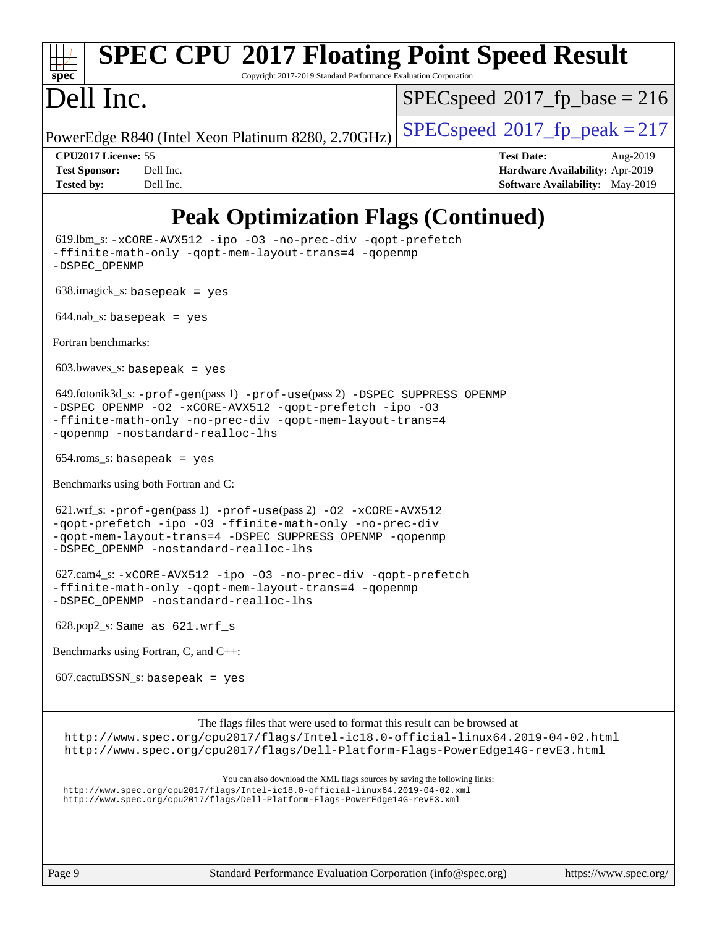| <b>SPEC CPU®2017 Floating Point Speed Result</b><br>Copyright 2017-2019 Standard Performance Evaluation Corporation<br>spec <sup>®</sup>                                                                                                     |                                                                                                     |
|----------------------------------------------------------------------------------------------------------------------------------------------------------------------------------------------------------------------------------------------|-----------------------------------------------------------------------------------------------------|
| Dell Inc.                                                                                                                                                                                                                                    | $SPEC speed^{\circ}2017$ fp base = 216                                                              |
| PowerEdge R840 (Intel Xeon Platinum 8280, 2.70GHz)                                                                                                                                                                                           | $SPEC speed^{\circ}2017$ fp peak = 217                                                              |
| CPU2017 License: 55<br><b>Test Sponsor:</b><br>Dell Inc.<br>Dell Inc.<br><b>Tested by:</b>                                                                                                                                                   | <b>Test Date:</b><br>Aug-2019<br>Hardware Availability: Apr-2019<br>Software Availability: May-2019 |
| <b>Peak Optimization Flags (Continued)</b>                                                                                                                                                                                                   |                                                                                                     |
| 619.lbm_s: -xCORE-AVX512 -ipo -03 -no-prec-div -qopt-prefetch<br>-ffinite-math-only -qopt-mem-layout-trans=4 -qopenmp<br>-DSPEC_OPENMP                                                                                                       |                                                                                                     |
| $638.\text{imagek}_s:$ basepeak = yes                                                                                                                                                                                                        |                                                                                                     |
| $644.nab_s$ : basepeak = yes                                                                                                                                                                                                                 |                                                                                                     |
| Fortran benchmarks:                                                                                                                                                                                                                          |                                                                                                     |
| $603.bwaves$ s: basepeak = yes                                                                                                                                                                                                               |                                                                                                     |
| $649.$ fotonik3d_s: -prof-gen(pass 1) -prof-use(pass 2) -DSPEC_SUPPRESS_OPENMP<br>-DSPEC_OPENMP -02 -xCORE-AVX512 -qopt-prefetch -ipo -03<br>-ffinite-math-only -no-prec-div -qopt-mem-layout-trans=4<br>-qopenmp -nostandard-realloc-lhs    |                                                                                                     |
| $654$ .roms_s: basepeak = yes                                                                                                                                                                                                                |                                                                                                     |
| Benchmarks using both Fortran and C:                                                                                                                                                                                                         |                                                                                                     |
| 621.wrf_s: -prof-gen(pass 1) -prof-use(pass 2) -02 -xCORE-AVX512<br>-gopt-prefetch -ipo -03 -ffinite-math-only -no-prec-div<br>-qopt-mem-layout-trans=4 -DSPEC_SUPPRESS_OPENMP -qopenmp<br>-DSPEC_OPENMP -nostandard-realloc-lhs             |                                                                                                     |
| 627.cam4_s: -xCORE-AVX512 -ipo -03 -no-prec-div -qopt-prefetch<br>-ffinite-math-only -qopt-mem-layout-trans=4 -qopenmp<br>-DSPEC_OPENMP -nostandard-realloc-lhs                                                                              |                                                                                                     |
| $628.pop2_s$ : Same as $621.wrf_s$                                                                                                                                                                                                           |                                                                                                     |
| Benchmarks using Fortran, C, and C++:                                                                                                                                                                                                        |                                                                                                     |
| $607.cactuBSSN_s$ : basepeak = yes                                                                                                                                                                                                           |                                                                                                     |
| The flags files that were used to format this result can be browsed at<br>http://www.spec.org/cpu2017/flags/Intel-ic18.0-official-linux64.2019-04-02.html<br>http://www.spec.org/cpu2017/flags/Dell-Platform-Flags-PowerEdge14G-revE3.html   |                                                                                                     |
| You can also download the XML flags sources by saving the following links:<br>http://www.spec.org/cpu2017/flags/Intel-ic18.0-official-linux64.2019-04-02.xml<br>http://www.spec.org/cpu2017/flags/Dell-Platform-Flags-PowerEdge14G-revE3.xml |                                                                                                     |
| Page 9<br>Standard Performance Evaluation Corporation (info@spec.org)                                                                                                                                                                        | https://www.spec.org/                                                                               |